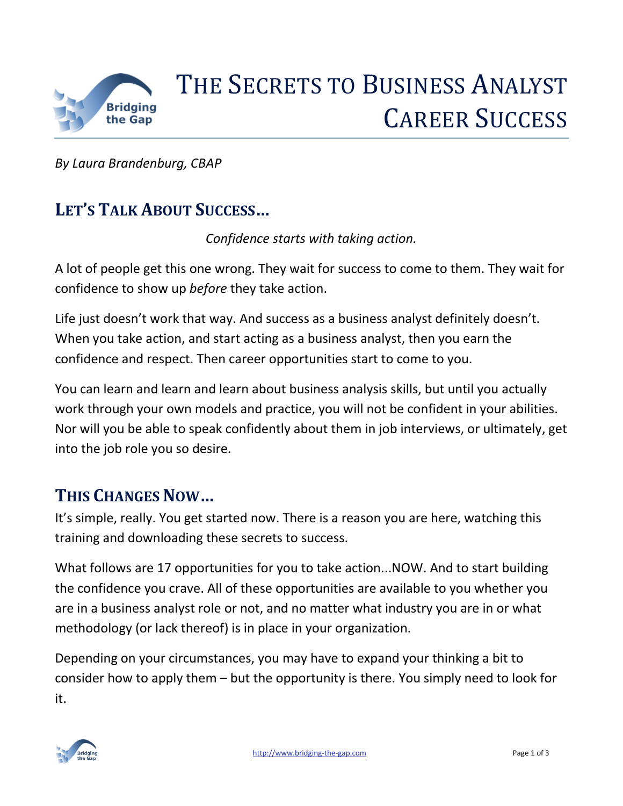

# THE SECRETS TO BUSINESS ANALYST CAREER SUCCESS

*By Laura Brandenburg, CBAP*

# **LET'S TALK ABOUT SUCCESS…**

*Confidence starts with taking action.*

A lot of people get this one wrong. They wait for success to come to them. They wait for confidence to show up *before* they take action.

Life just doesn't work that way. And success as a business analyst definitely doesn't. When you take action, and start acting as a business analyst, then you earn the confidence and respect. Then career opportunities start to come to you.

You can learn and learn and learn about business analysis skills, but until you actually work through your own models and practice, you will not be confident in your abilities. Nor will you be able to speak confidently about them in job interviews, or ultimately, get into the job role you so desire.

### **THIS CHANGES NOW…**

It's simple, really. You get started now. There is a reason you are here, watching this training and downloading these secrets to success.

What follows are 17 opportunities for you to take action...NOW. And to start building the confidence you crave. All of these opportunities are available to you whether you are in a business analyst role or not, and no matter what industry you are in or what methodology (or lack thereof) is in place in your organization.

Depending on your circumstances, you may have to expand your thinking a bit to consider how to apply them – but the opportunity is there. You simply need to look for it.

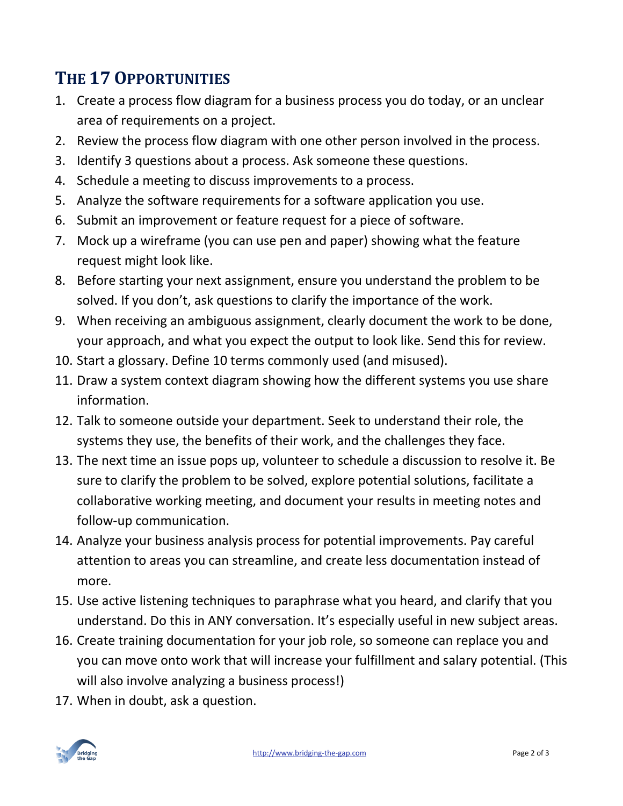# **THE 17 OPPORTUNITIES**

- 1. Create a process flow diagram for a business process you do today, or an unclear area of requirements on a project.
- 2. Review the process flow diagram with one other person involved in the process.
- 3. Identify 3 questions about a process. Ask someone these questions.
- 4. Schedule a meeting to discuss improvements to a process.
- 5. Analyze the software requirements for a software application you use.
- 6. Submit an improvement or feature request for a piece of software.
- 7. Mock up a wireframe (you can use pen and paper) showing what the feature request might look like.
- 8. Before starting your next assignment, ensure you understand the problem to be solved. If you don't, ask questions to clarify the importance of the work.
- 9. When receiving an ambiguous assignment, clearly document the work to be done, your approach, and what you expect the output to look like. Send this for review.
- 10. Start a glossary. Define 10 terms commonly used (and misused).
- 11. Draw a system context diagram showing how the different systems you use share information.
- 12. Talk to someone outside your department. Seek to understand their role, the systems they use, the benefits of their work, and the challenges they face.
- 13. The next time an issue pops up, volunteer to schedule a discussion to resolve it. Be sure to clarify the problem to be solved, explore potential solutions, facilitate a collaborative working meeting, and document your results in meeting notes and follow-up communication.
- 14. Analyze your business analysis process for potential improvements. Pay careful attention to areas you can streamline, and create less documentation instead of more.
- 15. Use active listening techniques to paraphrase what you heard, and clarify that you understand. Do this in ANY conversation. It's especially useful in new subject areas.
- 16. Create training documentation for your job role, so someone can replace you and you can move onto work that will increase your fulfillment and salary potential. (This will also involve analyzing a business process!)
- 17. When in doubt, ask a question.